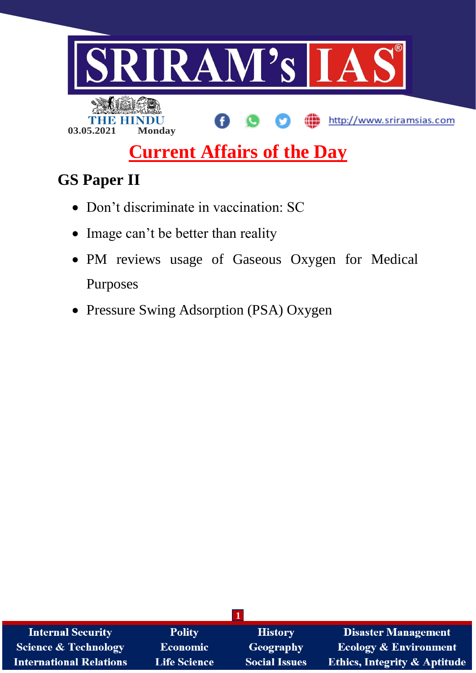

# **Current Affairs of the Day**

# **GS Paper II**

- Don't discriminate in vaccination: SC
- Image can't be better than reality
- PM reviews usage of Gaseous Oxygen for Medical Purposes
- Pressure Swing Adsorption (PSA) Oxygen

| <b>Internal Security</b>        | <b>Polity</b>       | <b>History</b>       | <b>Disaster Management</b>              |
|---------------------------------|---------------------|----------------------|-----------------------------------------|
| <b>Science &amp; Technology</b> | <b>Economic</b>     | Geography            | <b>Ecology &amp; Environment</b>        |
| <b>International Relations</b>  | <b>Life Science</b> | <b>Social Issues</b> | <b>Ethics, Integrity &amp; Aptitude</b> |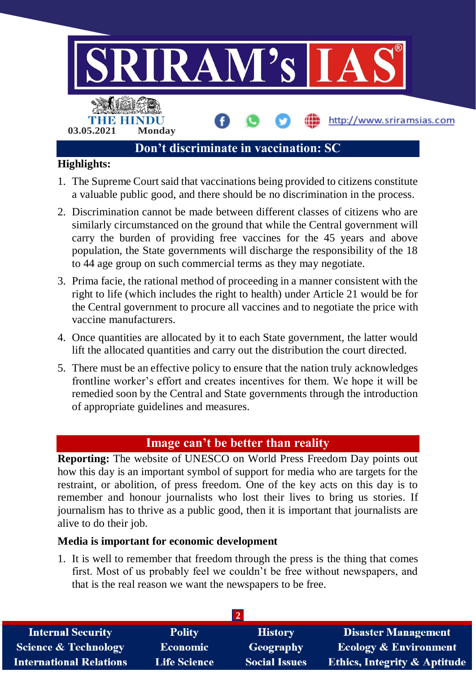

- 1. The Supreme Court said that vaccinations being provided to citizens constitute a valuable public good, and there should be no discrimination in the process.
- 2. Discrimination cannot be made between different classes of citizens who are similarly circumstanced on the ground that while the Central government will carry the burden of providing free vaccines for the 45 years and above population, the State governments will discharge the responsibility of the 18 to 44 age group on such commercial terms as they may negotiate.
- 3. Prima facie, the rational method of proceeding in a manner consistent with the right to life (which includes the right to health) under Article 21 would be for the Central government to procure all vaccines and to negotiate the price with vaccine manufacturers.
- 4. Once quantities are allocated by it to each State government, the latter would lift the allocated quantities and carry out the distribution the court directed.
- 5. There must be an effective policy to ensure that the nation truly acknowledges frontline worker's effort and creates incentives for them. We hope it will be remedied soon by the Central and State governments through the introduction of appropriate guidelines and measures.

# **Image can't be better than reality**

**Reporting:** The website of UNESCO on World Press Freedom Day points out how this day is an important symbol of support for media who are targets for the restraint, or abolition, of press freedom. One of the key acts on this day is to remember and honour journalists who lost their lives to bring us stories. If journalism has to thrive as a public good, then it is important that journalists are alive to do their job.

### **Media is important for economic development**

1. It is well to remember that freedom through the press is the thing that comes first. Most of us probably feel we couldn't be free without newspapers, and that is the real reason we want the newspapers to be free.

| <b>Internal Security</b>        | <b>Polity</b>       | <b>History</b>       | <b>Disaster Management</b>              |
|---------------------------------|---------------------|----------------------|-----------------------------------------|
| <b>Science &amp; Technology</b> | <b>Economic</b>     | Geography            | <b>Ecology &amp; Environment</b>        |
| <b>International Relations</b>  | <b>Life Science</b> | <b>Social Issues</b> | <b>Ethics, Integrity &amp; Aptitude</b> |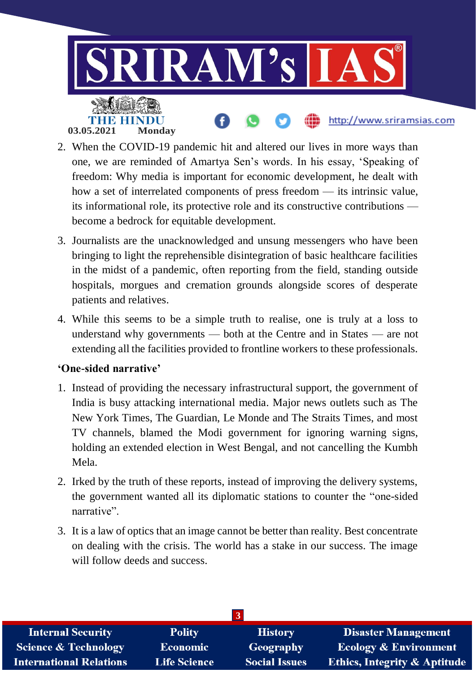

- 2. When the COVID-19 pandemic hit and altered our lives in more ways than one, we are reminded of Amartya Sen's words. In his essay, 'Speaking of freedom: Why media is important for economic development, he dealt with how a set of interrelated components of press freedom — its intrinsic value, its informational role, its protective role and its constructive contributions become a bedrock for equitable development.
- 3. Journalists are the unacknowledged and unsung messengers who have been bringing to light the reprehensible disintegration of basic healthcare facilities in the midst of a pandemic, often reporting from the field, standing outside hospitals, morgues and cremation grounds alongside scores of desperate patients and relatives.
- 4. While this seems to be a simple truth to realise, one is truly at a loss to understand why governments — both at the Centre and in States — are not extending all the facilities provided to frontline workers to these professionals.

## **'One-sided narrative'**

- 1. Instead of providing the necessary infrastructural support, the government of India is busy attacking international media. Major news outlets such as The New York Times, The Guardian, Le Monde and The Straits Times, and most TV channels, blamed the Modi government for ignoring warning signs, holding an extended election in West Bengal, and not cancelling the Kumbh Mela.
- 2. Irked by the truth of these reports, instead of improving the delivery systems, the government wanted all its diplomatic stations to counter the "one-sided narrative".
- 3. It is a law of optics that an image cannot be better than reality. Best concentrate on dealing with the crisis. The world has a stake in our success. The image will follow deeds and success.

| <b>Internal Security</b>        | <b>Polity</b>       | <b>History</b>       | <b>Disaster Management</b>              |
|---------------------------------|---------------------|----------------------|-----------------------------------------|
| <b>Science &amp; Technology</b> | <b>Economic</b>     | Geography            | <b>Ecology &amp; Environment</b>        |
| <b>International Relations</b>  | <b>Life Science</b> | <b>Social Issues</b> | <b>Ethics, Integrity &amp; Aptitude</b> |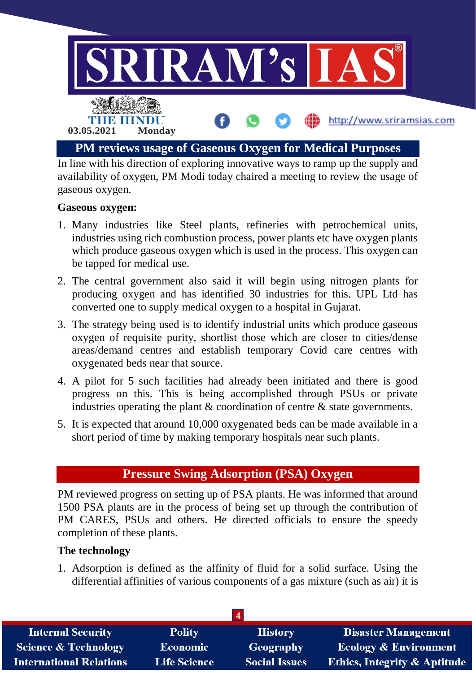

In line with his direction of exploring innovative ways to ramp up the supply and availability of oxygen, PM Modi today chaired a meeting to review the usage of gaseous oxygen.

### **Gaseous oxygen:**

- 1. Many industries like Steel plants, refineries with petrochemical units, industries using rich combustion process, power plants etc have oxygen plants which produce gaseous oxygen which is used in the process. This oxygen can be tapped for medical use.
- 2. The central government also said it will begin using nitrogen plants for producing oxygen and has identified 30 industries for this. UPL Ltd has converted one to supply medical oxygen to a hospital in Gujarat.
- 3. The strategy being used is to identify industrial units which produce gaseous oxygen of requisite purity, shortlist those which are closer to cities/dense areas/demand centres and establish temporary Covid care centres with oxygenated beds near that source.
- 4. A pilot for 5 such facilities had already been initiated and there is good progress on this. This is being accomplished through PSUs or private industries operating the plant & coordination of centre & state governments.
- 5. It is expected that around 10,000 oxygenated beds can be made available in a short period of time by making temporary hospitals near such plants.

# **Pressure Swing Adsorption (PSA) Oxygen**

PM reviewed progress on setting up of PSA plants. He was informed that around 1500 PSA plants are in the process of being set up through the contribution of PM CARES, PSUs and others. He directed officials to ensure the speedy completion of these plants.

### **The technology**

1. Adsorption is defined as the affinity of fluid for a solid surface. Using the differential affinities of various components of a gas mixture (such as air) it is

| <b>Internal Security</b>        | <b>Polity</b>       | <b>History</b>       | <b>Disaster Management</b>              |
|---------------------------------|---------------------|----------------------|-----------------------------------------|
| <b>Science &amp; Technology</b> | <b>Economic</b>     | Geography            | <b>Ecology &amp; Environment</b>        |
| <b>International Relations</b>  | <b>Life Science</b> | <b>Social Issues</b> | <b>Ethics, Integrity &amp; Aptitude</b> |